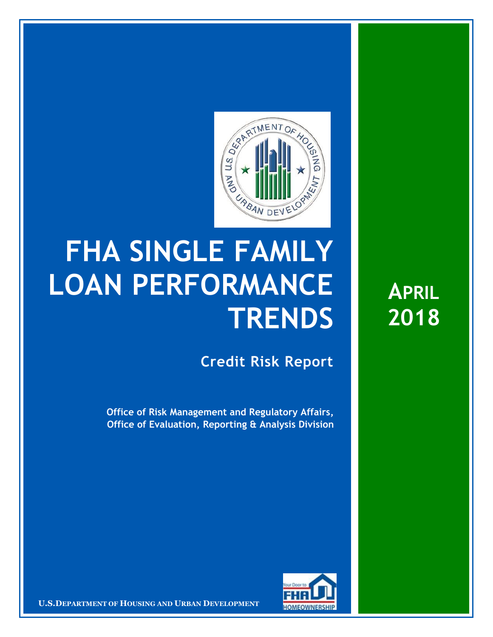

## **FHA SINGLE FAMILY LOAN PERFORMANCE TRENDS**

**Credit Risk Report**

**Office of Risk Management and Regulatory Affairs, Office of Evaluation, Reporting & Analysis Division**



**U.S.DEPARTMENT OF HOUSING AND URBAN DEVELOPMENT** 

**APRIL 2018**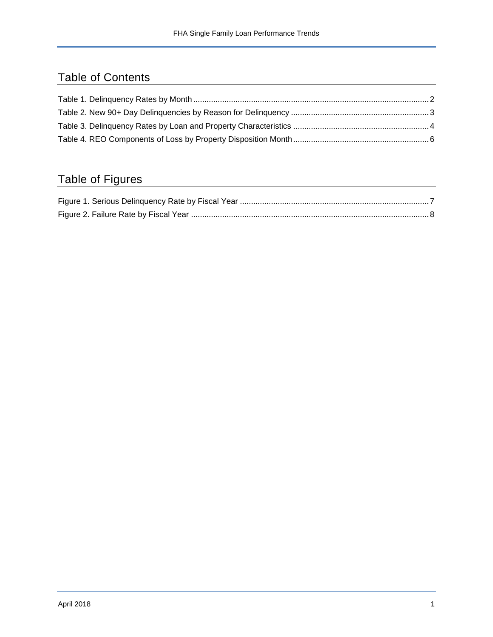## Table of Contents

## Table of Figures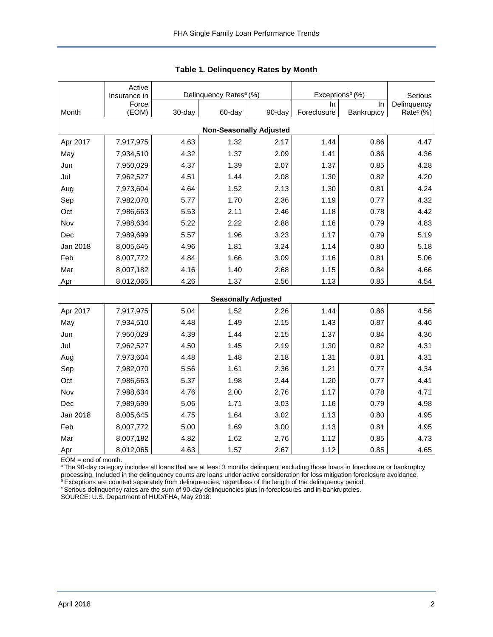<span id="page-2-0"></span>

|                                | Active<br>Insurance in |        | Delinquency Rates <sup>a</sup> (%) |                            | Exceptions <sup>b</sup> (%) | Serious    |                       |  |  |  |  |
|--------------------------------|------------------------|--------|------------------------------------|----------------------------|-----------------------------|------------|-----------------------|--|--|--|--|
|                                | Force                  |        |                                    |                            | In.                         | In.        | Delinquency           |  |  |  |  |
| Month                          | (EOM)                  | 30-day | 60-day                             | 90-day                     | Foreclosure                 | Bankruptcy | Rate <sup>c</sup> (%) |  |  |  |  |
| <b>Non-Seasonally Adjusted</b> |                        |        |                                    |                            |                             |            |                       |  |  |  |  |
| Apr 2017                       | 7,917,975              | 4.63   | 1.32                               | 2.17                       | 1.44                        | 0.86       | 4.47                  |  |  |  |  |
| May                            | 7,934,510              | 4.32   | 1.37                               | 2.09                       | 1.41                        | 0.86       | 4.36                  |  |  |  |  |
| Jun                            | 7,950,029              | 4.37   | 1.39                               | 2.07                       | 1.37                        | 0.85       | 4.28                  |  |  |  |  |
| Jul                            | 7,962,527              | 4.51   | 1.44                               | 2.08                       | 1.30                        | 0.82       | 4.20                  |  |  |  |  |
| Aug                            | 7,973,604              | 4.64   | 1.52                               | 2.13                       | 1.30                        | 0.81       | 4.24                  |  |  |  |  |
| Sep                            | 7,982,070              | 5.77   | 1.70                               | 2.36                       | 1.19                        | 0.77       | 4.32                  |  |  |  |  |
| Oct                            | 7,986,663              | 5.53   | 2.11                               | 2.46                       | 1.18                        | 0.78       | 4.42                  |  |  |  |  |
| Nov                            | 7,988,634              | 5.22   | 2.22                               | 2.88                       | 1.16                        | 0.79       | 4.83                  |  |  |  |  |
| Dec                            | 7,989,699              | 5.57   | 1.96                               | 3.23                       | 1.17                        | 0.79       | 5.19                  |  |  |  |  |
| Jan 2018                       | 8,005,645              | 4.96   | 1.81                               | 3.24                       | 1.14                        | 0.80       | 5.18                  |  |  |  |  |
| Feb                            | 8,007,772              | 4.84   | 1.66                               | 3.09                       | 1.16                        | 0.81       | 5.06                  |  |  |  |  |
| Mar                            | 8,007,182              | 4.16   | 1.40                               | 2.68                       | 1.15                        | 0.84       | 4.66                  |  |  |  |  |
| Apr                            | 8,012,065              | 4.26   | 1.37                               | 2.56                       | 1.13                        | 0.85       | 4.54                  |  |  |  |  |
|                                |                        |        |                                    | <b>Seasonally Adjusted</b> |                             |            |                       |  |  |  |  |
| Apr 2017                       | 7,917,975              | 5.04   | 1.52                               | 2.26                       | 1.44                        | 0.86       | 4.56                  |  |  |  |  |
| May                            | 7,934,510              | 4.48   | 1.49                               | 2.15                       | 1.43                        | 0.87       | 4.46                  |  |  |  |  |
| Jun                            | 7,950,029              | 4.39   | 1.44                               | 2.15                       | 1.37                        | 0.84       | 4.36                  |  |  |  |  |
| Jul                            | 7,962,527              | 4.50   | 1.45                               | 2.19                       | 1.30                        | 0.82       | 4.31                  |  |  |  |  |
| Aug                            | 7,973,604              | 4.48   | 1.48                               | 2.18                       | 1.31                        | 0.81       | 4.31                  |  |  |  |  |
| Sep                            | 7,982,070              | 5.56   | 1.61                               | 2.36                       | 1.21                        | 0.77       | 4.34                  |  |  |  |  |
| Oct                            | 7,986,663              | 5.37   | 1.98                               | 2.44                       | 1.20                        | 0.77       | 4.41                  |  |  |  |  |
| Nov                            | 7,988,634              | 4.76   | 2.00                               | 2.76                       | 1.17                        | 0.78       | 4.71                  |  |  |  |  |
| Dec                            | 7,989,699              | 5.06   | 1.71                               | 3.03                       | 1.16                        | 0.79       | 4.98                  |  |  |  |  |
| Jan 2018                       | 8,005,645              | 4.75   | 1.64                               | 3.02                       | 1.13                        | 0.80       | 4.95                  |  |  |  |  |
| Feb                            | 8,007,772              | 5.00   | 1.69                               | 3.00                       | 1.13                        | 0.81       | 4.95                  |  |  |  |  |
| Mar                            | 8,007,182              | 4.82   | 1.62                               | 2.76                       | 1.12                        | 0.85       | 4.73                  |  |  |  |  |
| Apr                            | 8,012,065              | 4.63   | 1.57                               | 2.67                       | 1.12                        | 0.85       | 4.65                  |  |  |  |  |

**Table 1. Delinquency Rates by Month**

EOM = end of month.

a The 90-day category includes all loans that are at least 3 months delinquent excluding those loans in foreclosure or bankruptcy processing. Included in the delinquency counts are loans under active consideration for loss mitigation foreclosure avoidance.

**bExceptions are counted separately from delinquencies, regardless of the length of the delinquency period.** 

<sup>c</sup> Serious delinquency rates are the sum of 90-day delinquencies plus in-foreclosures and in-bankruptcies.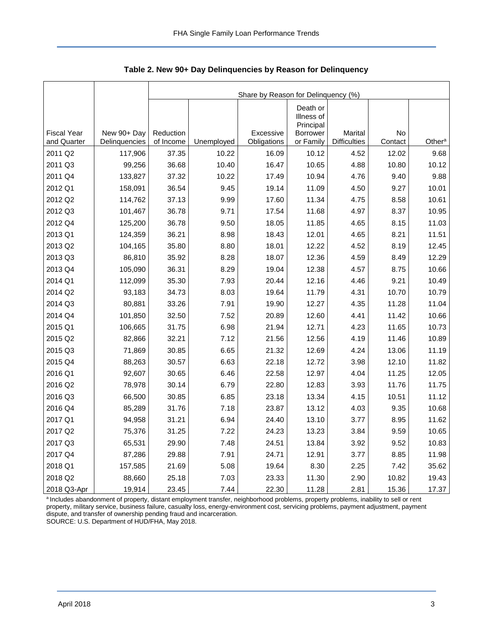|                                   |                              | Share by Reason for Delinquency (%) |            |                          |                                     |                                |               |                    |  |  |  |  |
|-----------------------------------|------------------------------|-------------------------------------|------------|--------------------------|-------------------------------------|--------------------------------|---------------|--------------------|--|--|--|--|
|                                   |                              |                                     |            |                          | Death or<br>Illness of<br>Principal |                                |               |                    |  |  |  |  |
| <b>Fiscal Year</b><br>and Quarter | New 90+ Day<br>Delinquencies | Reduction<br>of Income              | Unemployed | Excessive<br>Obligations | <b>Borrower</b><br>or Family        | Marital<br><b>Difficulties</b> | No<br>Contact | Other <sup>a</sup> |  |  |  |  |
| 2011 Q2                           | 117,906                      | 37.35                               | 10.22      | 16.09                    | 10.12                               | 4.52                           | 12.02         | 9.68               |  |  |  |  |
| 2011 Q3                           | 99,256                       | 36.68                               | 10.40      | 16.47                    | 10.65                               | 4.88                           | 10.80         | 10.12              |  |  |  |  |
| 2011 Q4                           | 133,827                      | 37.32                               | 10.22      | 17.49                    | 10.94                               | 4.76                           | 9.40          | 9.88               |  |  |  |  |
| 2012 Q1                           | 158,091                      | 36.54                               | 9.45       | 19.14                    | 11.09                               | 4.50                           | 9.27          | 10.01              |  |  |  |  |
| 2012 Q2                           | 114,762                      | 37.13                               | 9.99       | 17.60                    | 11.34                               | 4.75                           | 8.58          | 10.61              |  |  |  |  |
| 2012 Q3                           | 101,467                      | 36.78                               | 9.71       | 17.54                    | 11.68                               | 4.97                           | 8.37          | 10.95              |  |  |  |  |
| 2012 Q4                           | 125,200                      | 36.78                               | 9.50       | 18.05                    | 11.85                               | 4.65                           | 8.15          | 11.03              |  |  |  |  |
| 2013 Q1                           | 124,359                      | 36.21                               | 8.98       | 18.43                    | 12.01                               | 4.65                           | 8.21          | 11.51              |  |  |  |  |
| 2013 Q2                           | 104,165                      | 35.80                               | 8.80       | 18.01                    | 12.22                               | 4.52                           | 8.19          | 12.45              |  |  |  |  |
| 2013 Q3                           | 86,810                       | 35.92                               | 8.28       | 18.07                    | 12.36                               | 4.59                           | 8.49          | 12.29              |  |  |  |  |
| 2013 Q4                           | 105,090                      | 36.31                               | 8.29       | 19.04                    | 12.38                               | 4.57                           | 8.75          | 10.66              |  |  |  |  |
| 2014 Q1                           | 112,099                      | 35.30                               | 7.93       | 20.44                    | 12.16                               | 4.46                           | 9.21          | 10.49              |  |  |  |  |
| 2014 Q2                           | 93,183                       | 34.73                               | 8.03       | 19.64                    | 11.79                               | 4.31                           | 10.70         | 10.79              |  |  |  |  |
| 2014 Q3                           | 80,881                       | 33.26                               | 7.91       | 19.90                    | 12.27                               | 4.35                           | 11.28         | 11.04              |  |  |  |  |
| 2014 Q4                           | 101,850                      | 32.50                               | 7.52       | 20.89                    | 12.60                               | 4.41                           | 11.42         | 10.66              |  |  |  |  |
| 2015 Q1                           | 106,665                      | 31.75                               | 6.98       | 21.94                    | 12.71                               | 4.23                           | 11.65         | 10.73              |  |  |  |  |
| 2015 Q2                           | 82,866                       | 32.21                               | 7.12       | 21.56                    | 12.56                               | 4.19                           | 11.46         | 10.89              |  |  |  |  |
| 2015 Q3                           | 71,869                       | 30.85                               | 6.65       | 21.32                    | 12.69                               | 4.24                           | 13.06         | 11.19              |  |  |  |  |
| 2015 Q4                           | 88,263                       | 30.57                               | 6.63       | 22.18                    | 12.72                               | 3.98                           | 12.10         | 11.82              |  |  |  |  |
| 2016 Q1                           | 92,607                       | 30.65                               | 6.46       | 22.58                    | 12.97                               | 4.04                           | 11.25         | 12.05              |  |  |  |  |
| 2016 Q2                           | 78,978                       | 30.14                               | 6.79       | 22.80                    | 12.83                               | 3.93                           | 11.76         | 11.75              |  |  |  |  |
| 2016 Q3                           | 66,500                       | 30.85                               | 6.85       | 23.18                    | 13.34                               | 4.15                           | 10.51         | 11.12              |  |  |  |  |
| 2016 Q4                           | 85,289                       | 31.76                               | 7.18       | 23.87                    | 13.12                               | 4.03                           | 9.35          | 10.68              |  |  |  |  |
| 2017 Q1                           | 94,958                       | 31.21                               | 6.94       | 24.40                    | 13.10                               | 3.77                           | 8.95          | 11.62              |  |  |  |  |
| 2017 Q2                           | 75,376                       | 31.25                               | 7.22       | 24.23                    | 13.23                               | 3.84                           | 9.59          | 10.65              |  |  |  |  |
| 2017 Q3                           | 65,531                       | 29.90                               | 7.48       | 24.51                    | 13.84                               | 3.92                           | 9.52          | 10.83              |  |  |  |  |
| 2017 Q4                           | 87,286                       | 29.88                               | 7.91       | 24.71                    | 12.91                               | 3.77                           | 8.85          | 11.98              |  |  |  |  |
| 2018 Q1                           | 157,585                      | 21.69                               | 5.08       | 19.64                    | 8.30                                | 2.25                           | 7.42          | 35.62              |  |  |  |  |
| 2018 Q2                           | 88,660                       | 25.18                               | 7.03       | 23.33                    | 11.30                               | 2.90                           | 10.82         | 19.43              |  |  |  |  |
| 2018 Q3-Apr                       | 19,914                       | 23.45                               | 7.44       | 22.30                    | 11.28                               | 2.81                           | 15.36         | 17.37              |  |  |  |  |

<span id="page-3-0"></span>**Table 2. New 90+ Day Delinquencies by Reason for Delinquency**

a Includes abandonment of property, distant employment transfer, neighborhood problems, property problems, inability to sell or rent property, military service, business failure, casualty loss, energy-environment cost, servicing problems, payment adjustment, payment dispute, and transfer of ownership pending fraud and incarceration. SOURCE: U.S. Department of HUD/FHA, May 2018.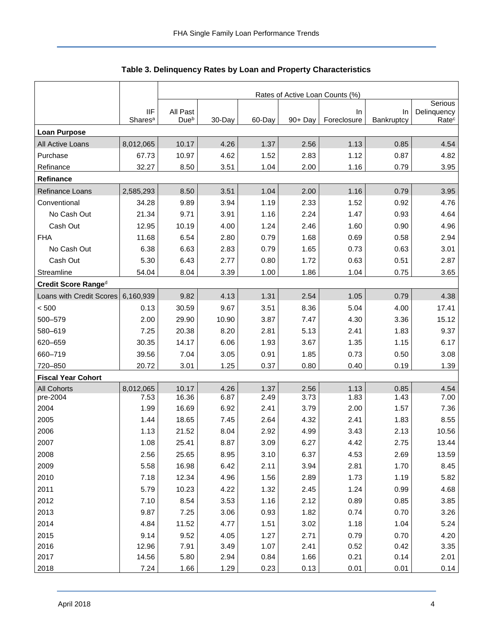<span id="page-4-0"></span>

|                           |                                   | Rates of Active Loan Counts (%) |              |              |              |                   |                  |                                  |  |  |  |
|---------------------------|-----------------------------------|---------------------------------|--------------|--------------|--------------|-------------------|------------------|----------------------------------|--|--|--|
|                           |                                   |                                 | Serious      |              |              |                   |                  |                                  |  |  |  |
|                           | <b>IIF</b><br>Shares <sup>a</sup> | All Past<br>Due <sup>b</sup>    | 30-Day       | 60-Day       | 90+ Day      | In<br>Foreclosure | In<br>Bankruptcy | Delinquency<br>Rate <sup>c</sup> |  |  |  |
| <b>Loan Purpose</b>       |                                   |                                 |              |              |              |                   |                  |                                  |  |  |  |
| All Active Loans          | 8,012,065                         | 10.17                           | 4.26         | 1.37         | 2.56         | 1.13              | 0.85             | 4.54                             |  |  |  |
| Purchase                  | 67.73                             | 10.97                           | 4.62         | 1.52         | 2.83         | 1.12              | 0.87             | 4.82                             |  |  |  |
| Refinance                 | 32.27                             | 8.50                            | 3.51         | 1.04         | 2.00         | 1.16              | 0.79             | 3.95                             |  |  |  |
| Refinance                 |                                   |                                 |              |              |              |                   |                  |                                  |  |  |  |
| Refinance Loans           | 2,585,293                         | 8.50                            | 3.51         | 1.04         | 2.00         | 1.16              | 0.79             | 3.95                             |  |  |  |
| Conventional              | 34.28                             | 9.89                            | 3.94         | 1.19         | 2.33         | 1.52              | 0.92             | 4.76                             |  |  |  |
| No Cash Out               | 21.34                             | 9.71                            | 3.91         | 1.16         | 2.24         | 1.47              | 0.93             | 4.64                             |  |  |  |
| Cash Out                  | 12.95                             | 10.19                           | 4.00         | 1.24         | 2.46         | 1.60              | 0.90             | 4.96                             |  |  |  |
| <b>FHA</b>                | 11.68                             | 6.54                            | 2.80         | 0.79         | 1.68         | 0.69              | 0.58             | 2.94                             |  |  |  |
| No Cash Out               | 6.38                              | 6.63                            | 2.83         | 0.79         | 1.65         | 0.73              | 0.63             | 3.01                             |  |  |  |
| Cash Out                  | 5.30                              | 6.43                            | 2.77         | 0.80         | 1.72         | 0.63              | 0.51             | 2.87                             |  |  |  |
| Streamline                | 54.04                             | 8.04                            | 3.39         | 1.00         | 1.86         | 1.04              | 0.75             | 3.65                             |  |  |  |
| Credit Score Ranged       |                                   |                                 |              |              |              |                   |                  |                                  |  |  |  |
| Loans with Credit Scores  | 6,160,939                         | 9.82                            | 4.13         | 1.31         | 2.54         | 1.05              | 0.79             | 4.38                             |  |  |  |
| < 500                     | 0.13                              | 30.59                           | 9.67         | 3.51         | 8.36         | 5.04              | 4.00             | 17.41                            |  |  |  |
| 500-579                   | 2.00                              | 29.90                           | 10.90        | 3.87         | 7.47         | 4.30              | 3.36             | 15.12                            |  |  |  |
| 580-619                   | 7.25                              | 20.38                           | 8.20         | 2.81         | 5.13         | 2.41              | 1.83             | 9.37                             |  |  |  |
| 620-659                   | 30.35                             | 14.17                           | 6.06         | 1.93         | 3.67         | 1.35              | 1.15             | 6.17                             |  |  |  |
| 660-719                   | 39.56                             | 7.04                            | 3.05         | 0.91         | 1.85         | 0.73              | 0.50             | 3.08                             |  |  |  |
| 720-850                   | 20.72                             | 3.01                            | 1.25         | 0.37         | 0.80         | 0.40              | 0.19             | 1.39                             |  |  |  |
| <b>Fiscal Year Cohort</b> |                                   |                                 |              |              |              |                   |                  |                                  |  |  |  |
| <b>All Cohorts</b>        | 8,012,065                         | 10.17                           | 4.26         | 1.37         | 2.56         | 1.13              | 0.85             | 4.54                             |  |  |  |
| pre-2004                  | 7.53                              | 16.36                           | 6.87         | 2.49         | 3.73         | 1.83              | 1.43             | 7.00                             |  |  |  |
| 2004                      | 1.99                              | 16.69                           | 6.92         | 2.41         | 3.79         | 2.00              | 1.57             | 7.36                             |  |  |  |
| 2005                      | 1.44                              | 18.65                           | 7.45         | 2.64         | 4.32         | 2.41              | 1.83             | 8.55                             |  |  |  |
| 2006                      | 1.13                              | 21.52                           | 8.04         | 2.92         | 4.99         | 3.43              | 2.13             | 10.56                            |  |  |  |
| 2007                      | 1.08                              | 25.41                           | 8.87         | 3.09         | 6.27         | 4.42              | 2.75             | 13.44                            |  |  |  |
| 2008                      | 2.56                              | 25.65                           | 8.95         | 3.10         | 6.37         | 4.53              | 2.69             | 13.59                            |  |  |  |
| 2009                      | 5.58                              | 16.98                           | 6.42         | 2.11         | 3.94         | 2.81              | 1.70             | 8.45                             |  |  |  |
| 2010                      | 7.18                              | 12.34                           | 4.96         | 1.56         | 2.89         | 1.73              | 1.19             | 5.82                             |  |  |  |
| 2011                      | 5.79                              | 10.23                           | 4.22         | 1.32         | 2.45         | 1.24              | 0.99             | 4.68                             |  |  |  |
| 2012                      | 7.10                              | 8.54                            | 3.53         | 1.16         | 2.12         | 0.89              | 0.85             | 3.85                             |  |  |  |
| 2013                      | 9.87                              | 7.25                            | 3.06         | 0.93         | 1.82         | 0.74              | 0.70             | 3.26                             |  |  |  |
| 2014                      | 4.84                              | 11.52                           | 4.77         | 1.51         | 3.02         | 1.18              | 1.04             | 5.24                             |  |  |  |
| 2015<br>2016              | 9.14<br>12.96                     | 9.52<br>7.91                    | 4.05<br>3.49 | 1.27<br>1.07 | 2.71<br>2.41 | 0.79<br>0.52      | 0.70<br>0.42     | 4.20<br>3.35                     |  |  |  |
| 2017                      | 14.56                             | 5.80                            | 2.94         | 0.84         | 1.66         | 0.21              | 0.14             | 2.01                             |  |  |  |
| 2018                      | 7.24                              | 1.66                            | 1.29         | 0.23         | 0.13         | 0.01              | 0.01             | 0.14                             |  |  |  |

**Table 3. Delinquency Rates by Loan and Property Characteristics**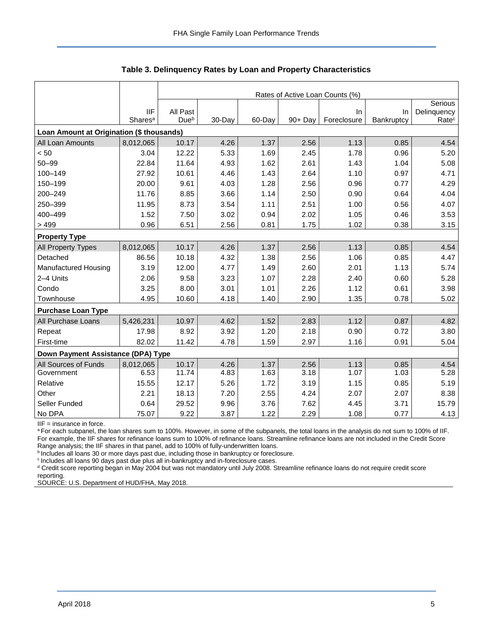|                                           |                                   | Rates of Active Loan Counts (%) |        |        |         |                   |                  |                                  |  |  |  |
|-------------------------------------------|-----------------------------------|---------------------------------|--------|--------|---------|-------------------|------------------|----------------------------------|--|--|--|
|                                           |                                   |                                 |        |        |         |                   |                  | Serious                          |  |  |  |
|                                           | <b>IIF</b><br>Shares <sup>a</sup> | All Past<br>Due <sup>b</sup>    | 30-Day | 60-Day | 90+ Day | In<br>Foreclosure | In<br>Bankruptcy | Delinquency<br>Rate <sup>c</sup> |  |  |  |
| Loan Amount at Origination (\$ thousands) |                                   |                                 |        |        |         |                   |                  |                                  |  |  |  |
| All Loan Amounts                          | 8,012,065                         | 10.17                           | 4.26   | 1.37   | 2.56    | 1.13              | 0.85             | 4.54                             |  |  |  |
| < 50                                      | 3.04                              | 12.22                           | 5.33   | 1.69   | 2.45    | 1.78              | 0.96             | 5.20                             |  |  |  |
| $50 - 99$                                 | 22.84                             | 11.64                           | 4.93   | 1.62   | 2.61    | 1.43              | 1.04             | 5.08                             |  |  |  |
| 100-149                                   | 27.92                             | 10.61                           | 4.46   | 1.43   | 2.64    | 1.10              | 0.97             | 4.71                             |  |  |  |
| 150-199                                   | 20.00                             | 9.61                            | 4.03   | 1.28   | 2.56    | 0.96              | 0.77             | 4.29                             |  |  |  |
| 200-249                                   | 11.76                             | 8.85                            | 3.66   | 1.14   | 2.50    | 0.90              | 0.64             | 4.04                             |  |  |  |
| 250-399                                   | 11.95                             | 8.73                            | 3.54   | 1.11   | 2.51    | 1.00              | 0.56             | 4.07                             |  |  |  |
| 400-499                                   | 1.52                              | 7.50                            | 3.02   | 0.94   | 2.02    | 1.05              | 0.46             | 3.53                             |  |  |  |
| >499                                      | 0.96                              | 6.51                            | 2.56   | 0.81   | 1.75    | 1.02              | 0.38             | 3.15                             |  |  |  |
| <b>Property Type</b>                      |                                   |                                 |        |        |         |                   |                  |                                  |  |  |  |
| <b>All Property Types</b>                 | 8,012,065                         | 10.17                           | 4.26   | 1.37   | 2.56    | 1.13              | 0.85             | 4.54                             |  |  |  |
| Detached                                  | 86.56                             | 10.18                           | 4.32   | 1.38   | 2.56    | 1.06              | 0.85             | 4.47                             |  |  |  |
| Manufactured Housing                      | 3.19                              | 12.00                           | 4.77   | 1.49   | 2.60    | 2.01              | 1.13             | 5.74                             |  |  |  |
| 2-4 Units                                 | 2.06                              | 9.58                            | 3.23   | 1.07   | 2.28    | 2.40              | 0.60             | 5.28                             |  |  |  |
| Condo                                     | 3.25                              | 8.00                            | 3.01   | 1.01   | 2.26    | 1.12              | 0.61             | 3.98                             |  |  |  |
| Townhouse                                 | 4.95                              | 10.60                           | 4.18   | 1.40   | 2.90    | 1.35              | 0.78             | 5.02                             |  |  |  |
| <b>Purchase Loan Type</b>                 |                                   |                                 |        |        |         |                   |                  |                                  |  |  |  |
| All Purchase Loans                        | 5,426,231                         | 10.97                           | 4.62   | 1.52   | 2.83    | 1.12              | 0.87             | 4.82                             |  |  |  |
| Repeat                                    | 17.98                             | 8.92                            | 3.92   | 1.20   | 2.18    | 0.90              | 0.72             | 3.80                             |  |  |  |
| First-time                                | 82.02                             | 11.42                           | 4.78   | 1.59   | 2.97    | 1.16              | 0.91             | 5.04                             |  |  |  |
| Down Payment Assistance (DPA) Type        |                                   |                                 |        |        |         |                   |                  |                                  |  |  |  |
| All Sources of Funds                      | 8,012,065                         | 10.17                           | 4.26   | 1.37   | 2.56    | 1.13              | 0.85             | 4.54                             |  |  |  |
| Government                                | 6.53                              | 11.74                           | 4.83   | 1.63   | 3.18    | 1.07              | 1.03             | 5.28                             |  |  |  |
| Relative                                  | 15.55                             | 12.17                           | 5.26   | 1.72   | 3.19    | 1.15              | 0.85             | 5.19                             |  |  |  |
| Other                                     | 2.21                              | 18.13                           | 7.20   | 2.55   | 4.24    | 2.07              | 2.07             | 8.38                             |  |  |  |
| Seller Funded                             | 0.64                              | 29.52                           | 9.96   | 3.76   | 7.62    | 4.45              | 3.71             | 15.79                            |  |  |  |
| No DPA                                    | 75.07                             | 9.22                            | 3.87   | 1.22   | 2.29    | 1.08              | 0.77             | 4.13                             |  |  |  |

**Table 3. Delinquency Rates by Loan and Property Characteristics**

IIF = insurance in force.

a For each subpanel, the loan shares sum to 100%. However, in some of the subpanels, the total loans in the analysis do not sum to 100% of IIF. For example, the IIF shares for refinance loans sum to 100% of refinance loans. Streamline refinance loans are not included in the Credit Score Range analysis; the IIF shares in that panel, add to 100% of fully-underwritten loans.

**b** Includes all loans 30 or more days past due, including those in bankruptcy or foreclosure.

<sup>c</sup> Includes all loans 90 days past due plus all in-bankruptcy and in-foreclosure cases.

<sup>d</sup> Credit score reporting began in May 2004 but was not mandatory until July 2008. Streamline refinance loans do not require credit score reporting.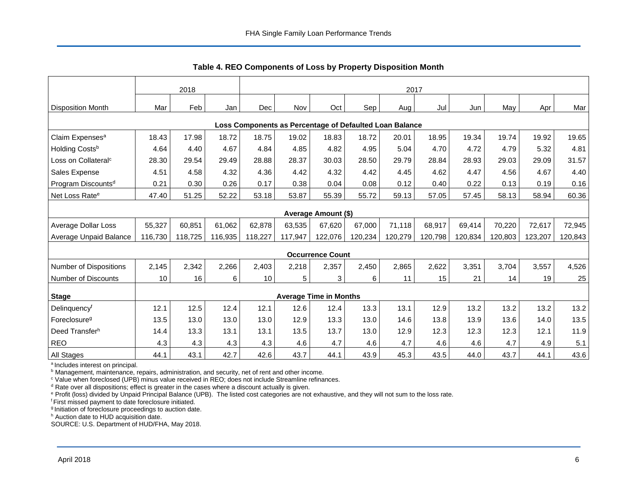<span id="page-6-0"></span>

|                                                         | 2018    |         |         | 2017    |         |                               |         |         |         |         |         |         |         |
|---------------------------------------------------------|---------|---------|---------|---------|---------|-------------------------------|---------|---------|---------|---------|---------|---------|---------|
| <b>Disposition Month</b>                                | Mar     | Feb     | Jan     | Dec     | Nov     | Oct                           | Sep     | Aug     | Jul     | Jun     | May     | Apr     | Mar     |
| Loss Components as Percentage of Defaulted Loan Balance |         |         |         |         |         |                               |         |         |         |         |         |         |         |
| Claim Expenses <sup>a</sup>                             | 18.43   | 17.98   | 18.72   | 18.75   | 19.02   | 18.83                         | 18.72   | 20.01   | 18.95   | 19.34   | 19.74   | 19.92   | 19.65   |
| Holding Costsb                                          | 4.64    | 4.40    | 4.67    | 4.84    | 4.85    | 4.82                          | 4.95    | 5.04    | 4.70    | 4.72    | 4.79    | 5.32    | 4.81    |
| Loss on Collateral <sup>c</sup>                         | 28.30   | 29.54   | 29.49   | 28.88   | 28.37   | 30.03                         | 28.50   | 29.79   | 28.84   | 28.93   | 29.03   | 29.09   | 31.57   |
| Sales Expense                                           | 4.51    | 4.58    | 4.32    | 4.36    | 4.42    | 4.32                          | 4.42    | 4.45    | 4.62    | 4.47    | 4.56    | 4.67    | 4.40    |
| Program Discounts <sup>d</sup>                          | 0.21    | 0.30    | 0.26    | 0.17    | 0.38    | 0.04                          | 0.08    | 0.12    | 0.40    | 0.22    | 0.13    | 0.19    | 0.16    |
| Net Loss Rate <sup>e</sup>                              | 47.40   | 51.25   | 52.22   | 53.18   | 53.87   | 55.39                         | 55.72   | 59.13   | 57.05   | 57.45   | 58.13   | 58.94   | 60.36   |
|                                                         |         |         |         |         |         | Average Amount (\$)           |         |         |         |         |         |         |         |
| Average Dollar Loss                                     | 55,327  | 60,851  | 61,062  | 62,878  | 63,535  | 67,620                        | 67,000  | 71,118  | 68,917  | 69,414  | 70,220  | 72,617  | 72,945  |
| Average Unpaid Balance                                  | 116,730 | 118,725 | 116,935 | 118,227 | 117,947 | 122,076                       | 120,234 | 120,279 | 120,798 | 120,834 | 120,803 | 123,207 | 120,843 |
|                                                         |         |         |         |         |         | <b>Occurrence Count</b>       |         |         |         |         |         |         |         |
| <b>Number of Dispositions</b>                           | 2,145   | 2,342   | 2,266   | 2,403   | 2,218   | 2,357                         | 2,450   | 2,865   | 2,622   | 3,351   | 3,704   | 3,557   | 4,526   |
| <b>Number of Discounts</b>                              | 10      | 16      | 6       | 10      | 5       | 3                             | 6       | 11      | 15      | 21      | 14      | 19      | 25      |
| <b>Stage</b>                                            |         |         |         |         |         | <b>Average Time in Months</b> |         |         |         |         |         |         |         |
| Delinquencyf                                            | 12.1    | 12.5    | 12.4    | 12.1    | 12.6    | 12.4                          | 13.3    | 13.1    | 12.9    | 13.2    | 13.2    | 13.2    | 13.2    |
| Foreclosure <sup>g</sup>                                | 13.5    | 13.0    | 13.0    | 13.0    | 12.9    | 13.3                          | 13.0    | 14.6    | 13.8    | 13.9    | 13.6    | 14.0    | 13.5    |
| Deed Transferh                                          | 14.4    | 13.3    | 13.1    | 13.1    | 13.5    | 13.7                          | 13.0    | 12.9    | 12.3    | 12.3    | 12.3    | 12.1    | 11.9    |
| <b>REO</b>                                              | 4.3     | 4.3     | 4.3     | 4.3     | 4.6     | 4.7                           | 4.6     | 4.7     | 4.6     | 4.6     | 4.7     | 4.9     | 5.1     |
| All Stages                                              | 44.1    | 43.1    | 42.7    | 42.6    | 43.7    | 44.1                          | 43.9    | 45.3    | 43.5    | 44.0    | 43.7    | 44.1    | 43.6    |

**Table 4. REO Components of Loss by Property Disposition Month**

<sup>a</sup> Includes interest on principal.

**b** Management, maintenance, repairs, administration, and security, net of rent and other income.

<sup>c</sup> Value when foreclosed (UPB) minus value received in REO; does not include Streamline refinances.

 $d$  Rate over all dispositions; effect is greater in the cases where a discount actually is given.

<sup>e</sup> Profit (loss) divided by Unpaid Principal Balance (UPB). The listed cost categories are not exhaustive, and they will not sum to the loss rate.

<sup>f</sup> First missed payment to date foreclosure initiated.

<sup>g</sup> Initiation of foreclosure proceedings to auction date.

h Auction date to HUD acquisition date.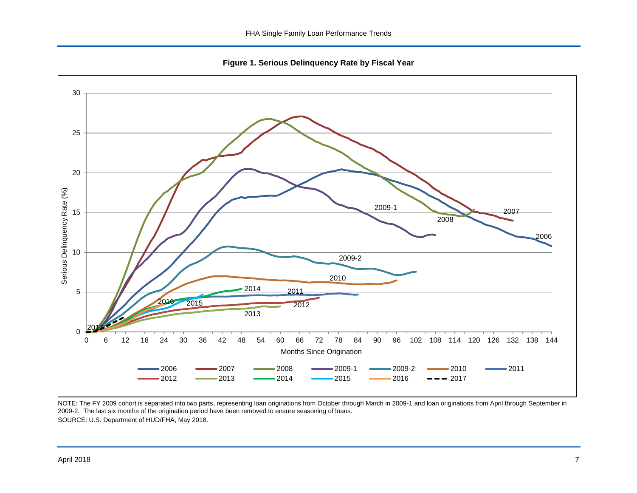**Figure 1. Serious Delinquency Rate by Fiscal Year**

<span id="page-7-0"></span>

NOTE: The FY 2009 cohort is separated into two parts, representing loan originations from October through March in 2009-1 and loan originations from April through September in 2009-2. The last six months of the origination period have been removed to ensure seasoning of loans. SOURCE: U.S. Department of HUD/FHA, May 2018.